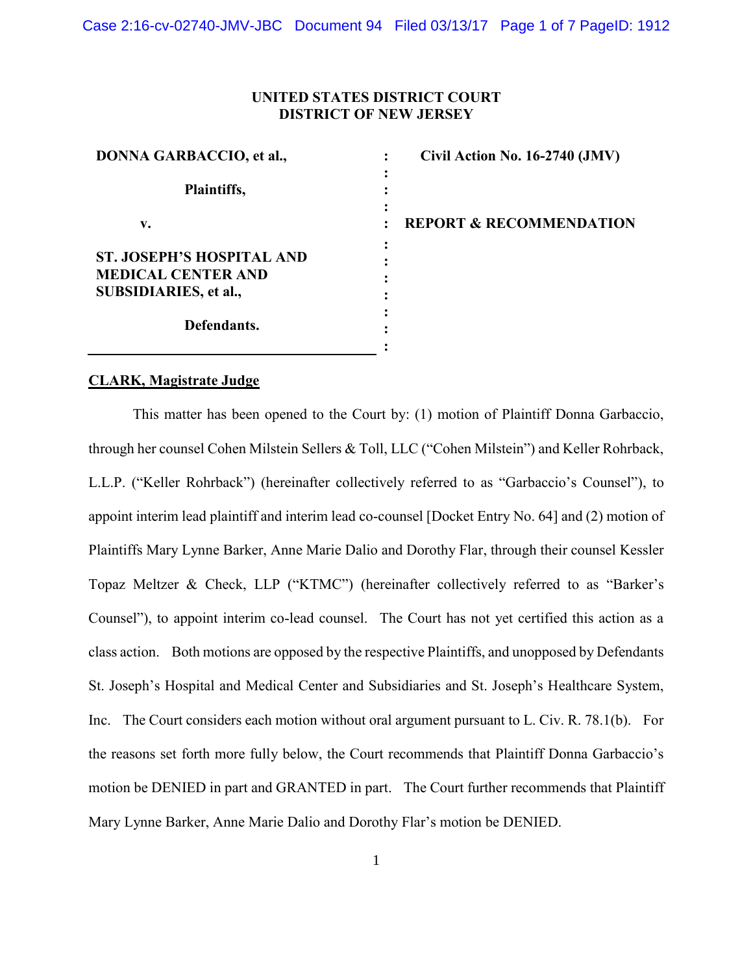## **UNITED STATES DISTRICT COURT DISTRICT OF NEW JERSEY**

| <b>DONNA GARBACCIO, et al.,</b>                                                               | Civil Action No. 16-2740 (JMV)     |
|-----------------------------------------------------------------------------------------------|------------------------------------|
| Plaintiffs,                                                                                   |                                    |
| v.                                                                                            | <b>REPORT &amp; RECOMMENDATION</b> |
| <b>ST. JOSEPH'S HOSPITAL AND</b><br><b>MEDICAL CENTER AND</b><br><b>SUBSIDIARIES, et al.,</b> |                                    |
| Defendants.                                                                                   |                                    |
|                                                                                               |                                    |

### **CLARK, Magistrate Judge**

This matter has been opened to the Court by: (1) motion of Plaintiff Donna Garbaccio, through her counsel Cohen Milstein Sellers & Toll, LLC ("Cohen Milstein") and Keller Rohrback, L.L.P. ("Keller Rohrback") (hereinafter collectively referred to as "Garbaccio's Counsel"), to appoint interim lead plaintiff and interim lead co-counsel [Docket Entry No. 64] and (2) motion of Plaintiffs Mary Lynne Barker, Anne Marie Dalio and Dorothy Flar, through their counsel Kessler Topaz Meltzer & Check, LLP ("KTMC") (hereinafter collectively referred to as "Barker's Counsel"), to appoint interim co-lead counsel. The Court has not yet certified this action as a class action. Both motions are opposed by the respective Plaintiffs, and unopposed by Defendants St. Joseph's Hospital and Medical Center and Subsidiaries and St. Joseph's Healthcare System, Inc. The Court considers each motion without oral argument pursuant to L. Civ. R. 78.1(b). For the reasons set forth more fully below, the Court recommends that Plaintiff Donna Garbaccio's motion be DENIED in part and GRANTED in part. The Court further recommends that Plaintiff Mary Lynne Barker, Anne Marie Dalio and Dorothy Flar's motion be DENIED.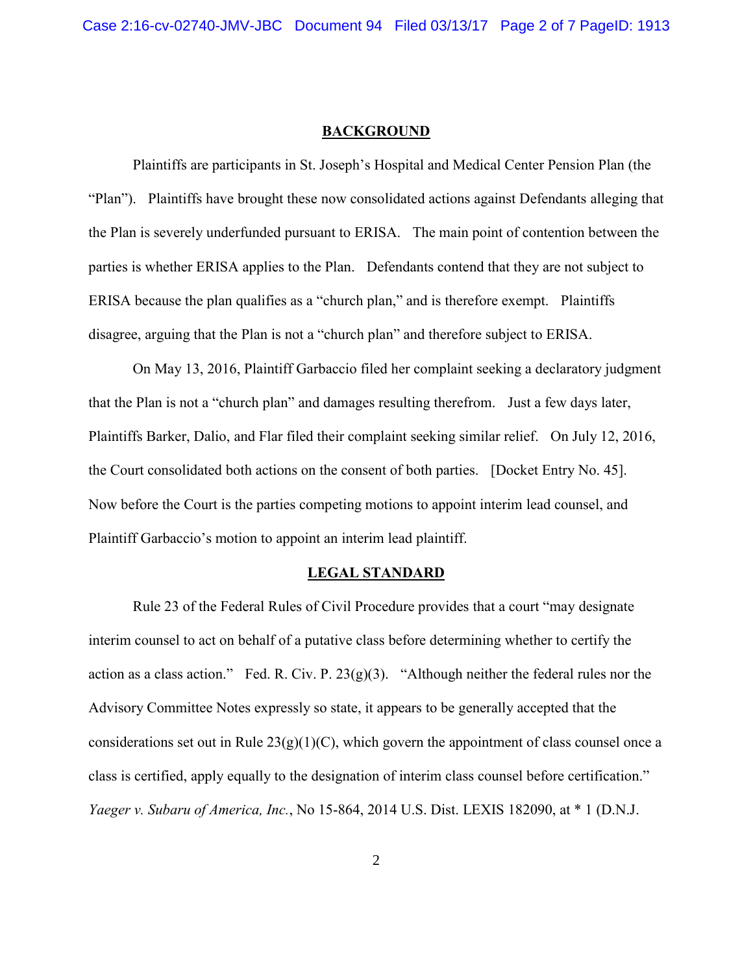#### **BACKGROUND**

Plaintiffs are participants in St. Joseph's Hospital and Medical Center Pension Plan (the "Plan"). Plaintiffs have brought these now consolidated actions against Defendants alleging that the Plan is severely underfunded pursuant to ERISA. The main point of contention between the parties is whether ERISA applies to the Plan. Defendants contend that they are not subject to ERISA because the plan qualifies as a "church plan," and is therefore exempt. Plaintiffs disagree, arguing that the Plan is not a "church plan" and therefore subject to ERISA.

On May 13, 2016, Plaintiff Garbaccio filed her complaint seeking a declaratory judgment that the Plan is not a "church plan" and damages resulting therefrom. Just a few days later, Plaintiffs Barker, Dalio, and Flar filed their complaint seeking similar relief. On July 12, 2016, the Court consolidated both actions on the consent of both parties. [Docket Entry No. 45]. Now before the Court is the parties competing motions to appoint interim lead counsel, and Plaintiff Garbaccio's motion to appoint an interim lead plaintiff.

#### **LEGAL STANDARD**

Rule 23 of the Federal Rules of Civil Procedure provides that a court "may designate interim counsel to act on behalf of a putative class before determining whether to certify the action as a class action." Fed. R. Civ. P. 23(g)(3). "Although neither the federal rules nor the Advisory Committee Notes expressly so state, it appears to be generally accepted that the considerations set out in Rule  $23(g)(1)(C)$ , which govern the appointment of class counsel once a class is certified, apply equally to the designation of interim class counsel before certification." *Yaeger v. Subaru of America, Inc.*, No 15-864, 2014 U.S. Dist. LEXIS 182090, at \* 1 (D.N.J.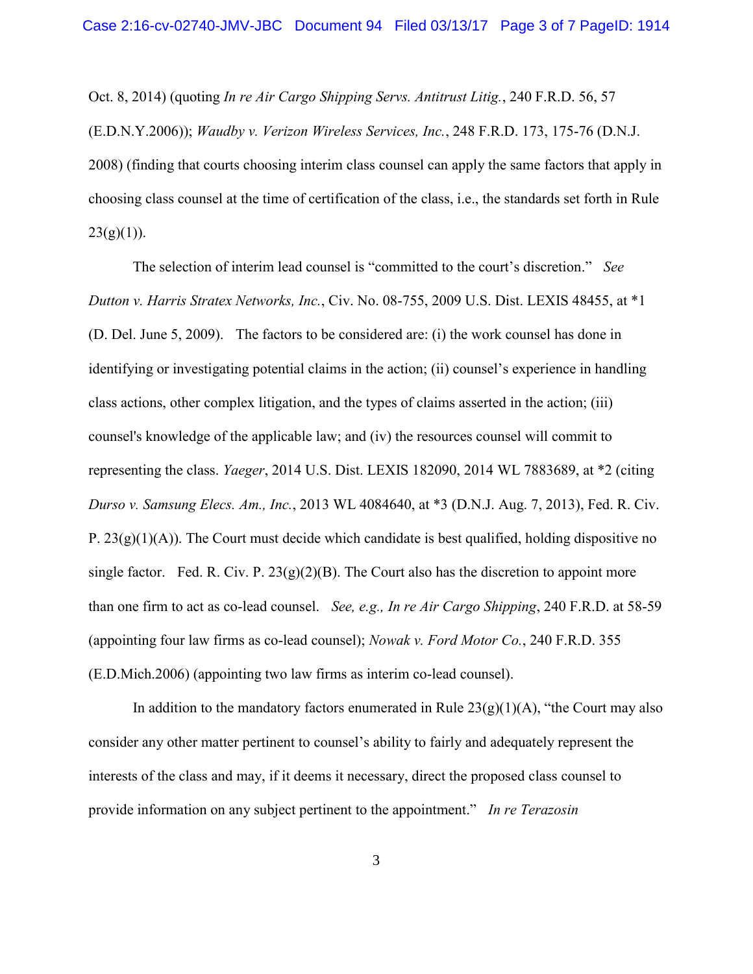Oct. 8, 2014) (quoting *In re Air Cargo Shipping Servs. Antitrust Litig.*, 240 F.R.D. 56, 57 (E.D.N.Y.2006)); *Waudby v. Verizon Wireless Services, Inc.*, 248 F.R.D. 173, 175-76 (D.N.J. 2008) (finding that courts choosing interim class counsel can apply the same factors that apply in choosing class counsel at the time of certification of the class, i.e., the standards set forth in Rule  $23(g)(1)$ ).

The selection of interim lead counsel is "committed to the court's discretion." *See Dutton v. Harris Stratex Networks, Inc.*, Civ. No. 08-755, 2009 U.S. Dist. LEXIS 48455, at \*1 (D. Del. June 5, 2009). The factors to be considered are: (i) the work counsel has done in identifying or investigating potential claims in the action; (ii) counsel's experience in handling class actions, other complex litigation, and the types of claims asserted in the action; (iii) counsel's knowledge of the applicable law; and (iv) the resources counsel will commit to representing the class. *Yaeger*, 2014 U.S. Dist. LEXIS 182090, 2014 WL 7883689, at \*2 (citing *Durso v. Samsung Elecs. Am., Inc.*, 2013 WL 4084640, at \*3 (D.N.J. Aug. 7, 2013), Fed. R. Civ. P.  $23(g)(1)(A)$ ). The Court must decide which candidate is best qualified, holding dispositive no single factor. Fed. R. Civ. P.  $23(g)(2)(B)$ . The Court also has the discretion to appoint more than one firm to act as co-lead counsel. *See, e.g., In re Air Cargo Shipping*, 240 F.R.D. at 58-59 (appointing four law firms as co-lead counsel); *Nowak v. Ford Motor Co.*, 240 F.R.D. 355 (E.D.Mich.2006) (appointing two law firms as interim co-lead counsel).

In addition to the mandatory factors enumerated in Rule  $23(g)(1)(A)$ , "the Court may also consider any other matter pertinent to counsel's ability to fairly and adequately represent the interests of the class and may, if it deems it necessary, direct the proposed class counsel to provide information on any subject pertinent to the appointment." *In re Terazosin*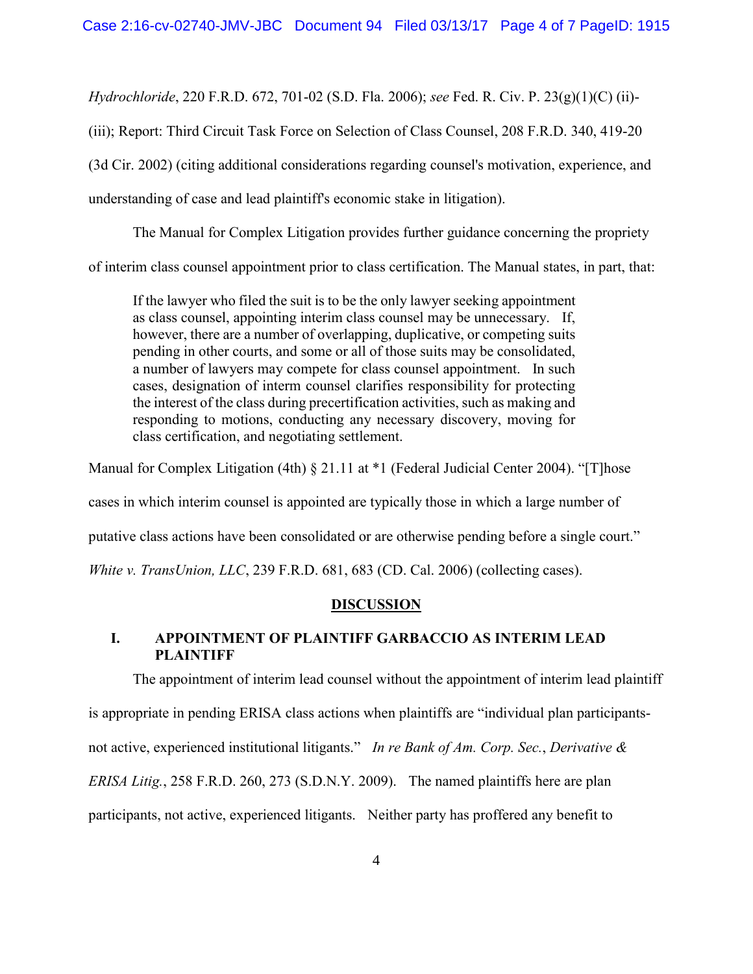*Hydrochloride*, 220 F.R.D. 672, 701-02 (S.D. Fla. 2006); *see* Fed. R. Civ. P. 23(g)(1)(C) (ii)-

(iii); Report: Third Circuit Task Force on Selection of Class Counsel, 208 F.R.D. 340, 419-20

(3d Cir. 2002) (citing additional considerations regarding counsel's motivation, experience, and

understanding of case and lead plaintiff's economic stake in litigation).

The Manual for Complex Litigation provides further guidance concerning the propriety

of interim class counsel appointment prior to class certification. The Manual states, in part, that:

If the lawyer who filed the suit is to be the only lawyer seeking appointment as class counsel, appointing interim class counsel may be unnecessary. If, however, there are a number of overlapping, duplicative, or competing suits pending in other courts, and some or all of those suits may be consolidated, a number of lawyers may compete for class counsel appointment. In such cases, designation of interm counsel clarifies responsibility for protecting the interest of the class during precertification activities, such as making and responding to motions, conducting any necessary discovery, moving for class certification, and negotiating settlement.

Manual for Complex Litigation (4th) § 21.11 at \*1 (Federal Judicial Center 2004). "[T]hose

cases in which interim counsel is appointed are typically those in which a large number of

putative class actions have been consolidated or are otherwise pending before a single court."

*White v. TransUnion, LLC*, 239 F.R.D. 681, 683 (CD. Cal. 2006) (collecting cases).

# **DISCUSSION**

# **I. APPOINTMENT OF PLAINTIFF GARBACCIO AS INTERIM LEAD PLAINTIFF**

The appointment of interim lead counsel without the appointment of interim lead plaintiff

is appropriate in pending ERISA class actions when plaintiffs are "individual plan participants-

not active, experienced institutional litigants." *In re Bank of Am. Corp. Sec.*, *Derivative &* 

*ERISA Litig.*, 258 F.R.D. 260, 273 (S.D.N.Y. 2009). The named plaintiffs here are plan

participants, not active, experienced litigants. Neither party has proffered any benefit to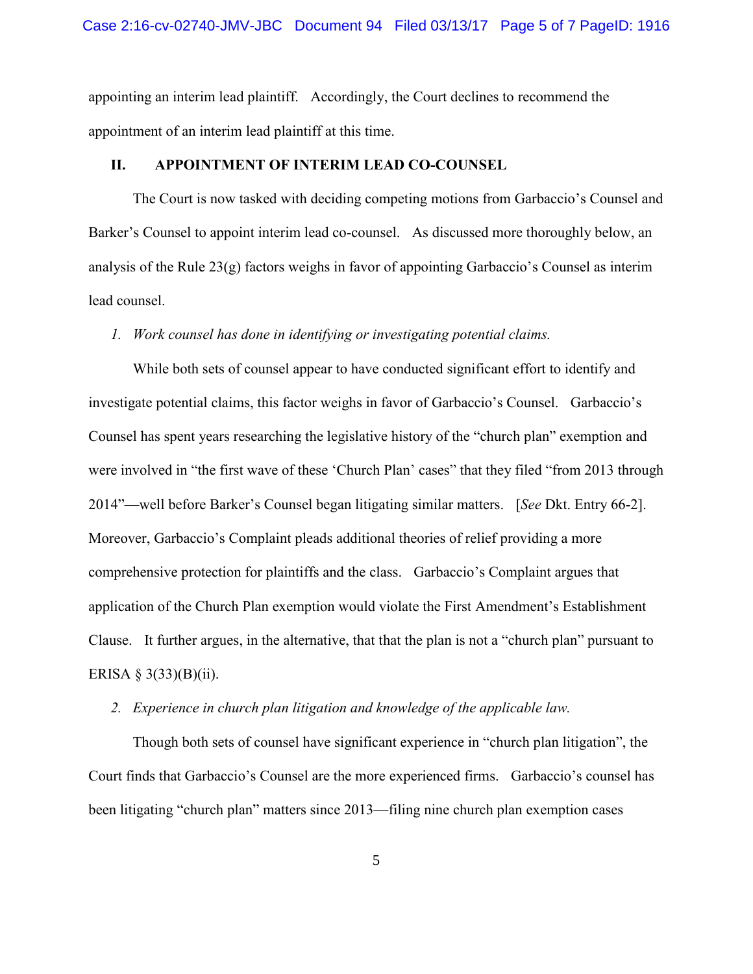appointing an interim lead plaintiff. Accordingly, the Court declines to recommend the appointment of an interim lead plaintiff at this time.

## **II. APPOINTMENT OF INTERIM LEAD CO-COUNSEL**

The Court is now tasked with deciding competing motions from Garbaccio's Counsel and Barker's Counsel to appoint interim lead co-counsel. As discussed more thoroughly below, an analysis of the Rule 23(g) factors weighs in favor of appointing Garbaccio's Counsel as interim lead counsel.

### *1. Work counsel has done in identifying or investigating potential claims.*

While both sets of counsel appear to have conducted significant effort to identify and investigate potential claims, this factor weighs in favor of Garbaccio's Counsel. Garbaccio's Counsel has spent years researching the legislative history of the "church plan" exemption and were involved in "the first wave of these 'Church Plan' cases" that they filed "from 2013 through 2014"—well before Barker's Counsel began litigating similar matters. [*See* Dkt. Entry 66-2]. Moreover, Garbaccio's Complaint pleads additional theories of relief providing a more comprehensive protection for plaintiffs and the class. Garbaccio's Complaint argues that application of the Church Plan exemption would violate the First Amendment's Establishment Clause. It further argues, in the alternative, that that the plan is not a "church plan" pursuant to ERISA  $\S$  3(33)(B)(ii).

## *2. Experience in church plan litigation and knowledge of the applicable law.*

Though both sets of counsel have significant experience in "church plan litigation", the Court finds that Garbaccio's Counsel are the more experienced firms. Garbaccio's counsel has been litigating "church plan" matters since 2013—filing nine church plan exemption cases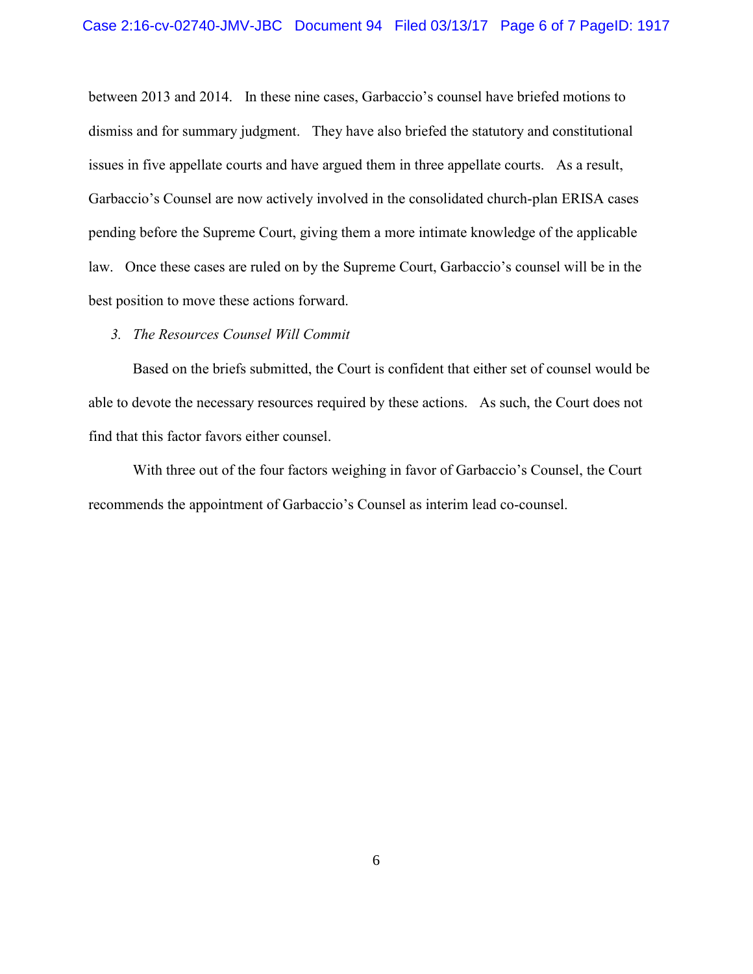between 2013 and 2014. In these nine cases, Garbaccio's counsel have briefed motions to dismiss and for summary judgment. They have also briefed the statutory and constitutional issues in five appellate courts and have argued them in three appellate courts. As a result, Garbaccio's Counsel are now actively involved in the consolidated church-plan ERISA cases pending before the Supreme Court, giving them a more intimate knowledge of the applicable law. Once these cases are ruled on by the Supreme Court, Garbaccio's counsel will be in the best position to move these actions forward.

#### *3. The Resources Counsel Will Commit*

Based on the briefs submitted, the Court is confident that either set of counsel would be able to devote the necessary resources required by these actions. As such, the Court does not find that this factor favors either counsel.

With three out of the four factors weighing in favor of Garbaccio's Counsel, the Court recommends the appointment of Garbaccio's Counsel as interim lead co-counsel.